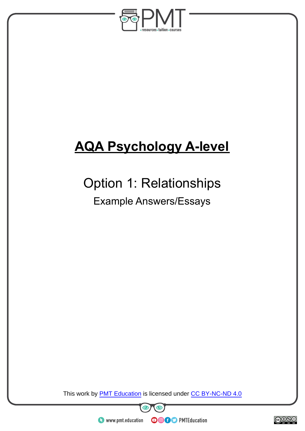

# **AQA Psychology A-level**

## Option 1: Relationships

### Example Answers/Essays

This work by **PMT Education** is licensed under CC BY-NC-ND 4.0





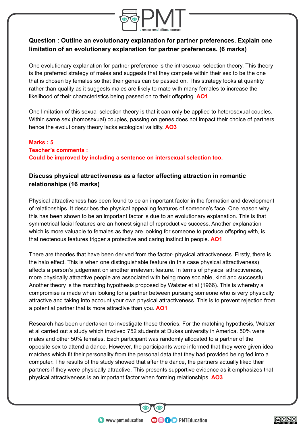

### **Question : Outline an evolutionary explanation for partner preferences. Explain one limitation of an evolutionary explanation for partner preferences. (6 marks)**

One evolutionary explanation for partner preference is the intrasexual selection theory. This theory is the preferred strategy of males and suggests that they compete within their sex to be the one that is chosen by females so that their genes can be passed on. This strategy looks at quantity rather than quality as it suggests males are likely to mate with many females to increase the likelihood of their characteristics being passed on to their offspring. **AO1**

One limitation of this sexual selection theory is that it can only be applied to heterosexual couples. Within same sex (homosexual) couples, passing on genes does not impact their choice of partners hence the evolutionary theory lacks ecological validity. **AO3**

#### **Marks : 5 Teacher's comments : Could be improved by including a sentence on intersexual selection too.**

### **Discuss physical attractiveness as a factor affecting attraction in romantic relationships (16 marks)**

Physical attractiveness has been found to be an important factor in the formation and development of relationships. It describes the physical appealing features of someone's face. One reason why this has been shown to be an important factor is due to an evolutionary explanation. This is that symmetrical facial features are an honest signal of reproductive success. Another explanation which is more valuable to females as they are looking for someone to produce offspring with, is that neotenous features trigger a protective and caring instinct in people. **AO1**

There are theories that have been derived from the factor- physical attractiveness. Firstly, there is the halo effect. This is when one distinguishable feature (in this case physical attractiveness) affects a person's judgement on another irrelevant feature. In terms of physical attractiveness, more physically attractive people are associated with being more sociable, kind and successful. Another theory is the matching hypothesis proposed by Walster et al (1966). This is whereby a compromise is made when looking for a partner between pursuing someone who is very physically attractive and taking into account your own physical attractiveness. This is to prevent rejection from a potential partner that is more attractive than you. **AO1**

Research has been undertaken to investigate these theories. For the matching hypothesis, Walster et al carried out a study which involved 752 students at Dukes university in America. 50% were males and other 50% females. Each participant was randomly allocated to a partner of the opposite sex to attend a dance. However, the participants were informed that they were given ideal matches which fit their personality from the personal data that they had provided being fed into a computer. The results of the study showed that after the dance, the partners actually liked their partners if they were physically attractive. This presents supportive evidence as it emphasizes that physical attractiveness is an important factor when forming relationships. **AO3**

**OOOO** PMTEducation

 $\bullet$  www.pmt.education